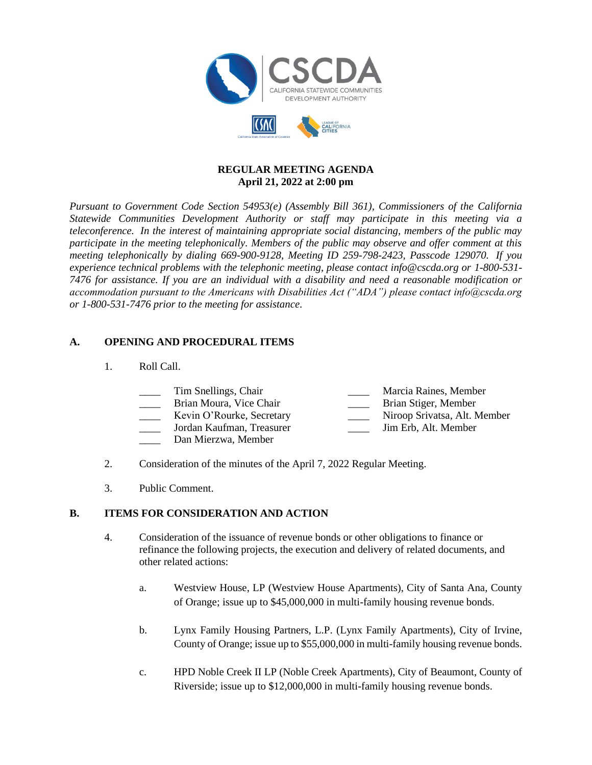

## **REGULAR MEETING AGENDA April 21, 2022 at 2:00 pm**

*Pursuant to Government Code Section 54953(e) (Assembly Bill 361), Commissioners of the California Statewide Communities Development Authority or staff may participate in this meeting via a teleconference. In the interest of maintaining appropriate social distancing, members of the public may participate in the meeting telephonically. Members of the public may observe and offer comment at this meeting telephonically by dialing 669-900-9128, Meeting ID 259-798-2423, Passcode 129070. If you experience technical problems with the telephonic meeting, please contact info@cscda.org or 1-800-531- 7476 for assistance. If you are an individual with a disability and need a reasonable modification or accommodation pursuant to the Americans with Disabilities Act ("ADA") please contact info@cscda.org or 1-800-531-7476 prior to the meeting for assistance.*

## **A. OPENING AND PROCEDURAL ITEMS**

1. Roll Call.

| <b>Contract Contract</b> | Tim Snellings, Chair      | Marcia Raines, Member        |
|--------------------------|---------------------------|------------------------------|
|                          | Brian Moura, Vice Chair   | Brian Stiger, Member         |
|                          | Kevin O'Rourke, Secretary | Niroop Srivatsa, Alt. Member |
|                          | Jordan Kaufman, Treasurer | Jim Erb, Alt. Member         |

- \_\_\_\_ Dan Mierzwa, Member
- 2. Consideration of the minutes of the April 7, 2022 Regular Meeting.
- 3. Public Comment.

## **B. ITEMS FOR CONSIDERATION AND ACTION**

- 4. Consideration of the issuance of revenue bonds or other obligations to finance or refinance the following projects, the execution and delivery of related documents, and other related actions:
	- a. Westview House, LP (Westview House Apartments), City of Santa Ana, County of Orange; issue up to \$45,000,000 in multi-family housing revenue bonds.
	- b. Lynx Family Housing Partners, L.P. (Lynx Family Apartments), City of Irvine, County of Orange; issue up to \$55,000,000 in multi-family housing revenue bonds.
	- c. HPD Noble Creek II LP (Noble Creek Apartments), City of Beaumont, County of Riverside; issue up to \$12,000,000 in multi-family housing revenue bonds.